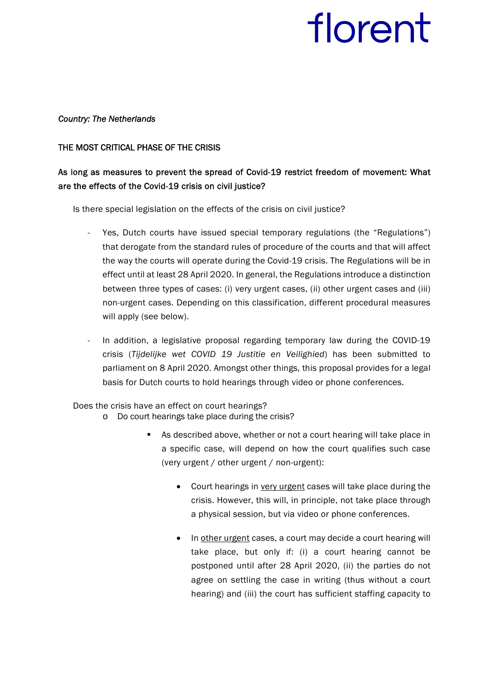#### *Country: The Netherlands*

#### THE MOST CRITICAL PHASE OF THE CRISIS

### As long as measures to prevent the spread of Covid-19 restrict freedom of movement: What are the effects of the Covid-19 crisis on civil justice?

Is there special legislation on the effects of the crisis on civil justice?

- Yes, Dutch courts have issued special temporary regulations (the "Regulations") that derogate from the standard rules of procedure of the courts and that will affect the way the courts will operate during the Covid-19 crisis. The Regulations will be in effect until at least 28 April 2020. In general, the Regulations introduce a distinction between three types of cases: (i) very urgent cases, (ii) other urgent cases and (iii) non-urgent cases. Depending on this classification, different procedural measures will apply (see below).
- In addition, a legislative proposal regarding temporary law during the COVID-19 crisis (*Tijdelijke wet COVID 19 Justitie en Veilighied*) has been submitted to parliament on 8 April 2020. Amongst other things, this proposal provides for a legal basis for Dutch courts to hold hearings through video or phone conferences.

Does the crisis have an effect on court hearings?

- o Do court hearings take place during the crisis?
	- As described above, whether or not a court hearing will take place in a specific case, will depend on how the court qualifies such case (very urgent / other urgent / non-urgent):
		- Court hearings in very urgent cases will take place during the crisis. However, this will, in principle, not take place through a physical session, but via video or phone conferences.
		- In other urgent cases, a court may decide a court hearing will take place, but only if: (i) a court hearing cannot be postponed until after 28 April 2020, (ii) the parties do not agree on settling the case in writing (thus without a court hearing) and (iii) the court has sufficient staffing capacity to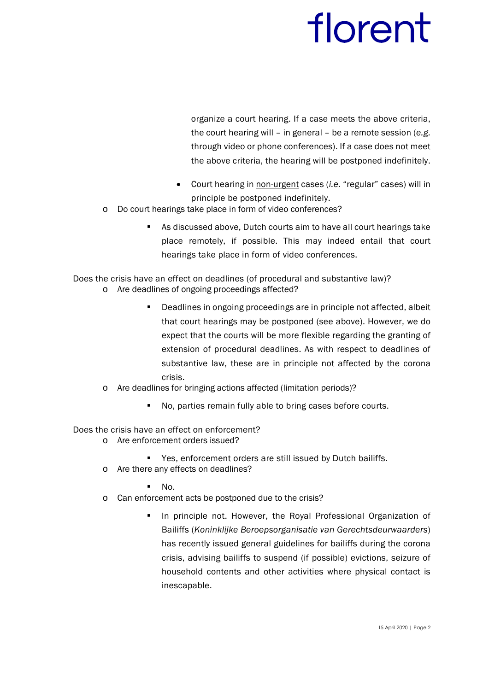organize a court hearing. If a case meets the above criteria, the court hearing will – in general – be a remote session (*e.g.*  through video or phone conferences). If a case does not meet the above criteria, the hearing will be postponed indefinitely.

- Court hearing in non-urgent cases (*i.e.* "regular" cases) will in principle be postponed indefinitely.
- o Do court hearings take place in form of video conferences?
	- As discussed above, Dutch courts aim to have all court hearings take place remotely, if possible. This may indeed entail that court hearings take place in form of video conferences.

Does the crisis have an effect on deadlines (of procedural and substantive law)?

- o Are deadlines of ongoing proceedings affected?
	- Deadlines in ongoing proceedings are in principle not affected, albeit that court hearings may be postponed (see above). However, we do expect that the courts will be more flexible regarding the granting of extension of procedural deadlines. As with respect to deadlines of substantive law, these are in principle not affected by the corona crisis.
- o Are deadlines for bringing actions affected (limitation periods)?
	- No, parties remain fully able to bring cases before courts.

Does the crisis have an effect on enforcement?

- o Are enforcement orders issued?
	- Yes, enforcement orders are still issued by Dutch bailiffs.
- o Are there any effects on deadlines?
	- $N$ .
- o Can enforcement acts be postponed due to the crisis?
	- In principle not. However, the Royal Professional Organization of Bailiffs (*Koninklijke Beroepsorganisatie van Gerechtsdeurwaarders*) has recently issued general guidelines for bailiffs during the corona crisis, advising bailiffs to suspend (if possible) evictions, seizure of household contents and other activities where physical contact is inescapable.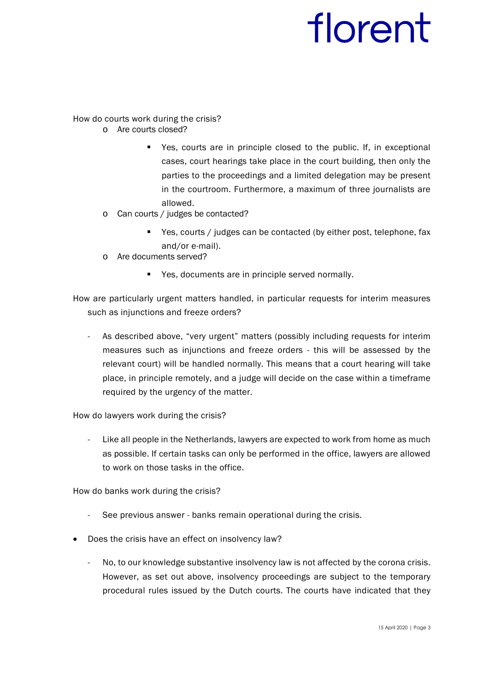How do courts work during the crisis?

- o Are courts closed?
	- Yes, courts are in principle closed to the public. If, in exceptional cases, court hearings take place in the court building, then only the parties to the proceedings and a limited delegation may be present in the courtroom. Furthermore, a maximum of three journalists are allowed.
- o Can courts / judges be contacted?
	- Yes, courts / judges can be contacted (by either post, telephone, fax and/or e-mail).
- o Are documents served?
	- **Part 2** Yes, documents are in principle served normally.

How are particularly urgent matters handled, in particular requests for interim measures such as injunctions and freeze orders?

As described above, "very urgent" matters (possibly including requests for interim measures such as injunctions and freeze orders - this will be assessed by the relevant court) will be handled normally. This means that a court hearing will take place, in principle remotely, and a judge will decide on the case within a timeframe required by the urgency of the matter.

How do lawyers work during the crisis?

Like all people in the Netherlands, lawyers are expected to work from home as much as possible. If certain tasks can only be performed in the office, lawyers are allowed to work on those tasks in the office.

How do banks work during the crisis?

- See previous answer banks remain operational during the crisis.
- Does the crisis have an effect on insolvency law?
	- No, to our knowledge substantive insolvency law is not affected by the corona crisis. However, as set out above, insolvency proceedings are subject to the temporary procedural rules issued by the Dutch courts. The courts have indicated that they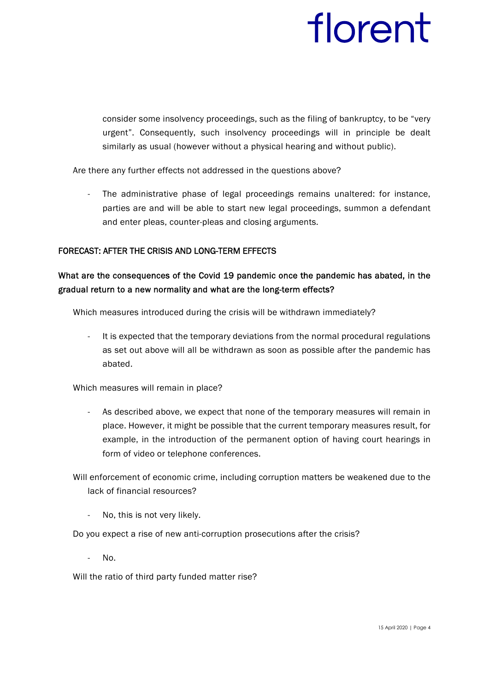consider some insolvency proceedings, such as the filing of bankruptcy, to be "very urgent". Consequently, such insolvency proceedings will in principle be dealt similarly as usual (however without a physical hearing and without public).

Are there any further effects not addressed in the questions above?

- The administrative phase of legal proceedings remains unaltered: for instance, parties are and will be able to start new legal proceedings, summon a defendant and enter pleas, counter-pleas and closing arguments.

#### FORECAST: AFTER THE CRISIS AND LONG-TERM EFFECTS

#### What are the consequences of the Covid 19 pandemic once the pandemic has abated, in the gradual return to a new normality and what are the long-term effects?

Which measures introduced during the crisis will be withdrawn immediately?

It is expected that the temporary deviations from the normal procedural regulations as set out above will all be withdrawn as soon as possible after the pandemic has abated.

Which measures will remain in place?

- As described above, we expect that none of the temporary measures will remain in place. However, it might be possible that the current temporary measures result, for example, in the introduction of the permanent option of having court hearings in form of video or telephone conferences.

Will enforcement of economic crime, including corruption matters be weakened due to the lack of financial resources?

No, this is not very likely.

Do you expect a rise of new anti-corruption prosecutions after the crisis?

No.

Will the ratio of third party funded matter rise?